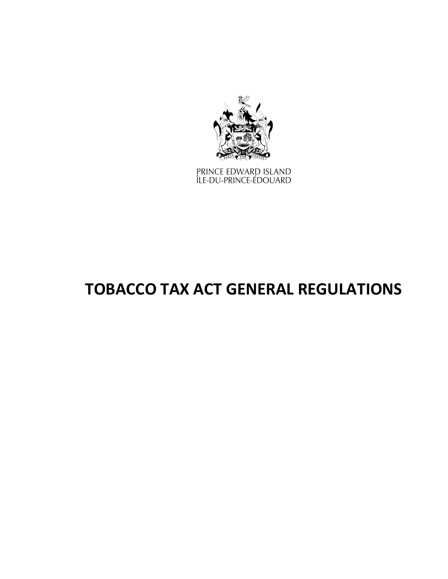

PRINCE EDWARD ISLAND<br>ÎLE-DU-PRINCE-ÉDOUARD

# **TOBACCO TAX ACT GENERAL REGULATIONS**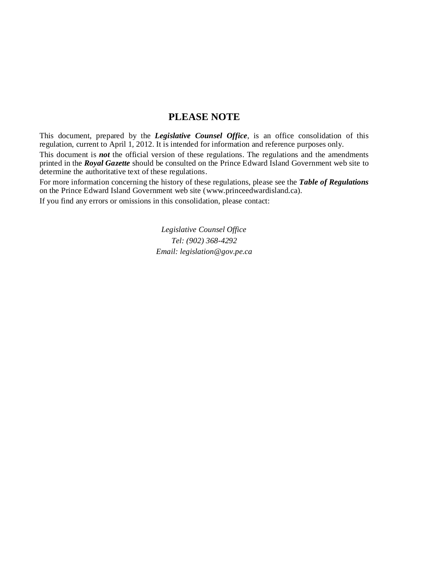### **PLEASE NOTE**

This document, prepared by the *[Legislative](http://www.gov.pe.ca/jps/index.php3?number=1027247) Counsel Office*, is an office consolidation of this regulation, current to April 1, 2012. It is intended for information and reference purposes only.

This document is *not* the official version of these regulations. The regulations and the amendments printed in the *Royal Gazette* should be consulted on the Prince Edward Island Government web site to determine the authoritative text of these regulations.

For more information concerning the history of these regulations, please see the *[Table of Regulations](https://www.princeedwardisland.ca/sites/default/files/publications/leg_table_acts.pdf)* on the Prince Edward Island Government web site (www.princeedwardisland.ca).

If you find any errors or omissions in this consolidation, please contact:

*Legislative Counsel Office Tel: (902) 368-4292 Email: legislation@gov.pe.ca*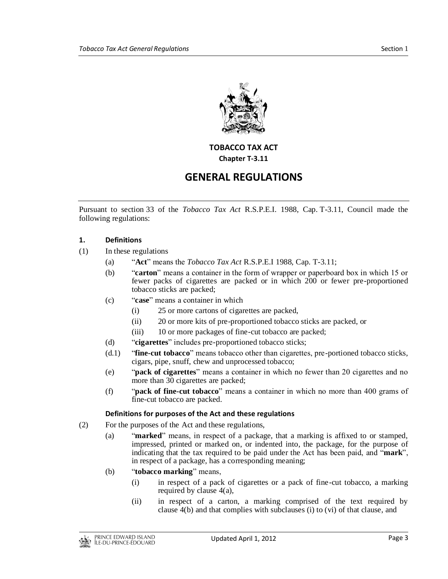

#### **TOBACCO TAX ACT Chapter T-3.11**

## **GENERAL REGULATIONS**

Pursuant to section 33 of the *Tobacco Tax Act* R.S.P.E.I. 1988, Cap. T-3.11, Council made the following regulations:

#### **1. Definitions**

- (1) In these regulations
	- (a) "**Act**" means the *Tobacco Tax Act* R.S.P.E.I 1988, Cap. T-3.11;
	- (b) "**carton**" means a container in the form of wrapper or paperboard box in which 15 or fewer packs of cigarettes are packed or in which 200 or fewer pre-proportioned tobacco sticks are packed;
	- (c) "**case**" means a container in which
		- (i) 25 or more cartons of cigarettes are packed,
		- (ii) 20 or more kits of pre-proportioned tobacco sticks are packed, or
		- (iii) 10 or more packages of fine-cut tobacco are packed;
	- (d) "**cigarettes**" includes pre-proportioned tobacco sticks;
	- (d.1) "**fine-cut tobacco**" means tobacco other than cigarettes, pre-portioned tobacco sticks, cigars, pipe, snuff, chew and unprocessed tobacco;
	- (e) "**pack of cigarettes**" means a container in which no fewer than 20 cigarettes and no more than 30 cigarettes are packed;
	- (f) "**pack of fine-cut tobacco**" means a container in which no more than 400 grams of fine-cut tobacco are packed.

#### **Definitions for purposes of the Act and these regulations**

- (2) For the purposes of the Act and these regulations,
	- (a) "**marked**" means, in respect of a package, that a marking is affixed to or stamped, impressed, printed or marked on, or indented into, the package, for the purpose of indicating that the tax required to be paid under the Act has been paid, and "**mark**", in respect of a package, has a corresponding meaning;
	- (b) "**tobacco marking**" means,
		- (i) in respect of a pack of cigarettes or a pack of fine-cut tobacco, a marking required by clause 4(a),
		- (ii) in respect of a carton, a marking comprised of the text required by clause 4(b) and that complies with subclauses (i) to (vi) of that clause, and